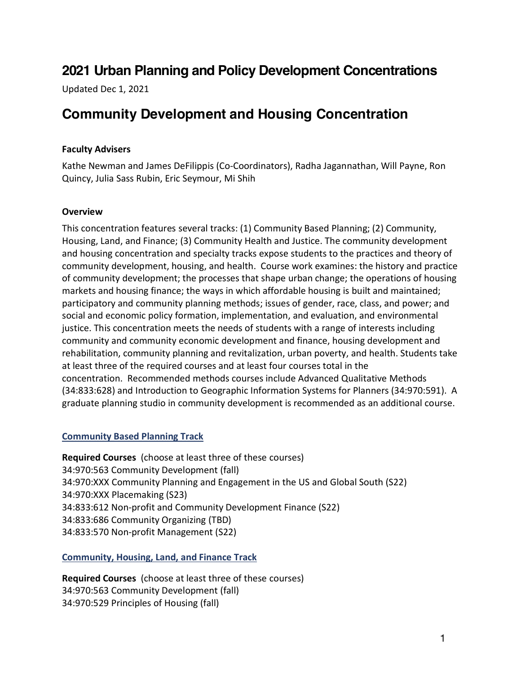# **2021 Urban Planning and Policy Development Concentrations**

Updated Dec 1, 2021

# **Community Development and Housing Concentration**

### **Faculty Advisers**

Kathe Newman and James DeFilippis (Co-Coordinators), Radha Jagannathan, Will Payne, Ron Quincy, Julia Sass Rubin, Eric Seymour, Mi Shih

#### **Overview**

This concentration features several tracks: (1) Community Based Planning; (2) Community, Housing, Land, and Finance; (3) Community Health and Justice. The community development and housing concentration and specialty tracks expose students to the practices and theory of community development, housing, and health. Course work examines: the history and practice of community development; the processes that shape urban change; the operations of housing markets and housing finance; the ways in which affordable housing is built and maintained; participatory and community planning methods; issues of gender, race, class, and power; and social and economic policy formation, implementation, and evaluation, and environmental justice. This concentration meets the needs of students with a range of interests including community and community economic development and finance, housing development and rehabilitation, community planning and revitalization, urban poverty, and health. Students take at least three of the required courses and at least four courses total in the concentration. Recommended methods courses include Advanced Qualitative Methods (34:833:628) and Introduction to Geographic Information Systems for Planners (34:970:591). A graduate planning studio in community development is recommended as an additional course.

## **Community Based Planning Track**

**Required Courses** (choose at least three of these courses) 34:970:563 Community Development (fall) 34:970:XXX Community Planning and Engagement in the US and Global South (S22) 34:970:XXX Placemaking (S23) 34:833:612 Non-profit and Community Development Finance (S22) 34:833:686 Community Organizing (TBD) 34:833:570 Non-profit Management (S22)

## **Community, Housing, Land, and Finance Track**

**Required Courses** (choose at least three of these courses) 34:970:563 Community Development (fall) 34:970:529 Principles of Housing (fall)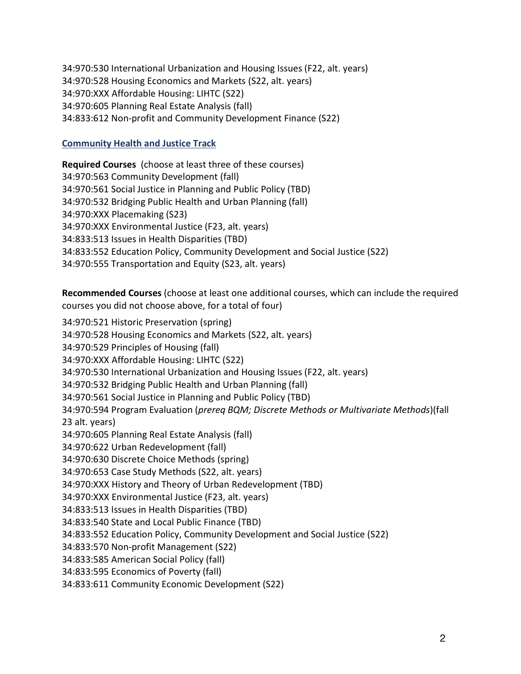34:970:530 International Urbanization and Housing Issues (F22, alt. years) 34:970:528 Housing Economics and Markets (S22, alt. years) 34:970:XXX Affordable Housing: LIHTC (S22) 34:970:605 Planning Real Estate Analysis (fall) 34:833:612 Non-profit and Community Development Finance (S22)

#### **Community Health and Justice Track**

**Required Courses** (choose at least three of these courses) 34:970:563 Community Development (fall) 34:970:561 Social Justice in Planning and Public Policy (TBD) 34:970:532 Bridging Public Health and Urban Planning (fall) 34:970:XXX Placemaking (S23) 34:970:XXX Environmental Justice (F23, alt. years) 34:833:513 Issues in Health Disparities (TBD) 34:833:552 Education Policy, Community Development and Social Justice (S22) 34:970:555 Transportation and Equity (S23, alt. years)

**Recommended Courses** (choose at least one additional courses, which can include the required courses you did not choose above, for a total of four)

34:970:521 Historic Preservation (spring) 34:970:528 Housing Economics and Markets (S22, alt. years) 34:970:529 Principles of Housing (fall) 34:970:XXX Affordable Housing: LIHTC (S22) 34:970:530 International Urbanization and Housing Issues (F22, alt. years) 34:970:532 Bridging Public Health and Urban Planning (fall) 34:970:561 Social Justice in Planning and Public Policy (TBD) 34:970:594 Program Evaluation (*prereq BQM; Discrete Methods or Multivariate Methods*)(fall 23 alt. years) 34:970:605 Planning Real Estate Analysis (fall) 34:970:622 Urban Redevelopment (fall) 34:970:630 Discrete Choice Methods (spring) 34:970:653 Case Study Methods (S22, alt. years) 34:970:XXX History and Theory of Urban Redevelopment (TBD) 34:970:XXX Environmental Justice (F23, alt. years) 34:833:513 Issues in Health Disparities (TBD) 34:833:540 State and Local Public Finance (TBD) 34:833:552 Education Policy, Community Development and Social Justice (S22) 34:833:570 Non-profit Management (S22) 34:833:585 American Social Policy (fall) 34:833:595 Economics of Poverty (fall) 34:833:611 Community Economic Development (S22)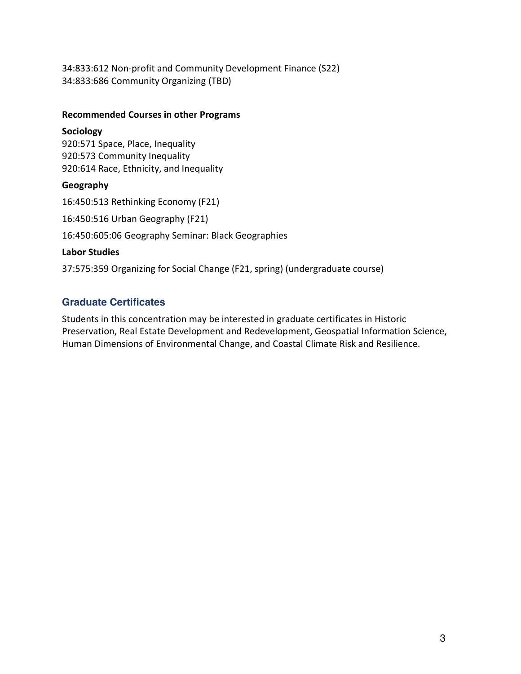34:833:612 Non-profit and Community Development Finance (S22) 34:833:686 Community Organizing (TBD)

#### **Recommended Courses in other Programs**

#### **Sociology**

920:571 Space, Place, Inequality 920:573 Community Inequality 920:614 Race, Ethnicity, and Inequality

## **Geography**

16:450:513 Rethinking Economy (F21) 16:450:516 Urban Geography (F21)

16:450:605:06 Geography Seminar: Black Geographies

## **Labor Studies**

37:575:359 Organizing for Social Change (F21, spring) (undergraduate course)

# **Graduate Certificates**

Students in this concentration may be interested in graduate certificates in Historic Preservation, Real Estate Development and Redevelopment, Geospatial Information Science, Human Dimensions of Environmental Change, and Coastal Climate Risk and Resilience.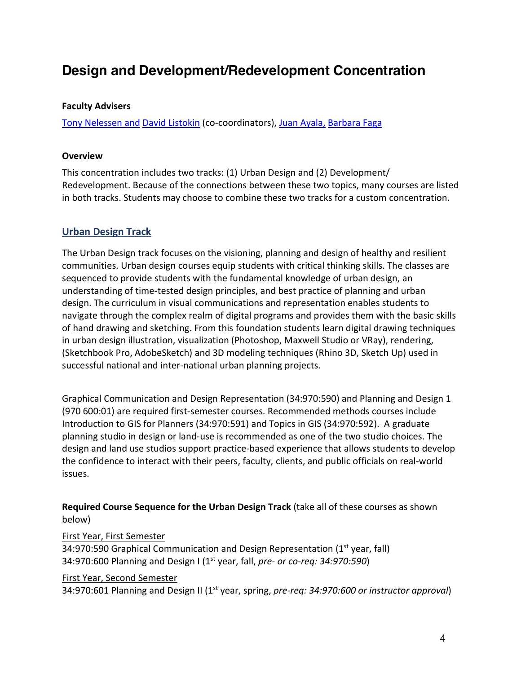# **Design and Development/Redevelopment Concentration**

#### **Faculty Advisers**

Tony Nelessen and David Listokin (co-coordinators), Juan Ayala, Barbara Faga

#### **Overview**

This concentration includes two tracks: (1) Urban Design and (2) Development/ Redevelopment. Because of the connections between these two topics, many courses are listed in both tracks. Students may choose to combine these two tracks for a custom concentration.

## **Urban Design Track**

The Urban Design track focuses on the visioning, planning and design of healthy and resilient communities. Urban design courses equip students with critical thinking skills. The classes are sequenced to provide students with the fundamental knowledge of urban design, an understanding of time-tested design principles, and best practice of planning and urban design. The curriculum in visual communications and representation enables students to navigate through the complex realm of digital programs and provides them with the basic skills of hand drawing and sketching. From this foundation students learn digital drawing techniques in urban design illustration, visualization (Photoshop, Maxwell Studio or VRay), rendering, (Sketchbook Pro, AdobeSketch) and 3D modeling techniques (Rhino 3D, Sketch Up) used in successful national and inter-national urban planning projects.

Graphical Communication and Design Representation (34:970:590) and Planning and Design 1 (970 600:01) are required first-semester courses. Recommended methods courses include Introduction to GIS for Planners (34:970:591) and Topics in GIS (34:970:592). A graduate planning studio in design or land-use is recommended as one of the two studio choices. The design and land use studios support practice-based experience that allows students to develop the confidence to interact with their peers, faculty, clients, and public officials on real-world issues.

**Required Course Sequence for the Urban Design Track** (take all of these courses as shown below)

#### First Year, First Semester

34:970:590 Graphical Communication and Design Representation ( $1<sup>st</sup>$  year, fall) 34:970:600 Planning and Design I (1st year, fall, *pre- or co-req: 34:970:590*)

#### First Year, Second Semester

34:970:601 Planning and Design II (1st year, spring, *pre-req: 34:970:600 or instructor approval*)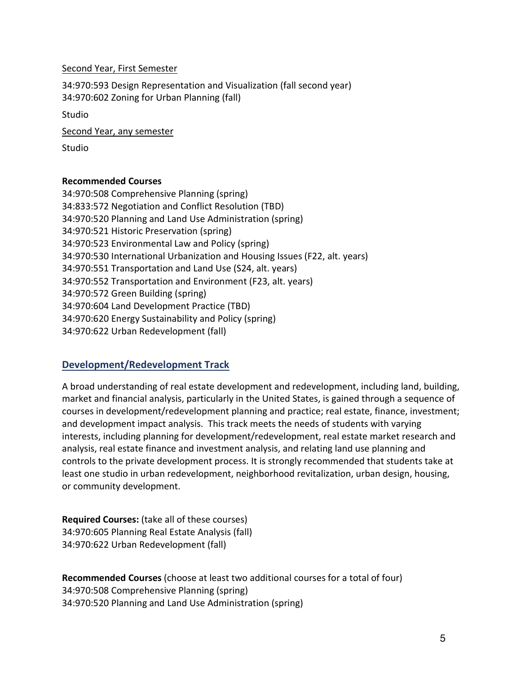Second Year, First Semester

34:970:593 Design Representation and Visualization (fall second year) 34:970:602 Zoning for Urban Planning (fall)

Studio

Second Year, any semester

Studio

#### **Recommended Courses**

34:970:508 Comprehensive Planning (spring) 34:833:572 Negotiation and Conflict Resolution (TBD) 34:970:520 Planning and Land Use Administration (spring) 34:970:521 Historic Preservation (spring) 34:970:523 Environmental Law and Policy (spring) 34:970:530 International Urbanization and Housing Issues (F22, alt. years) 34:970:551 Transportation and Land Use (S24, alt. years) 34:970:552 Transportation and Environment (F23, alt. years) 34:970:572 Green Building (spring) 34:970:604 Land Development Practice (TBD) 34:970:620 Energy Sustainability and Policy (spring) 34:970:622 Urban Redevelopment (fall)

# **Development/Redevelopment Track**

A broad understanding of real estate development and redevelopment, including land, building, market and financial analysis, particularly in the United States, is gained through a sequence of courses in development/redevelopment planning and practice; real estate, finance, investment; and development impact analysis. This track meets the needs of students with varying interests, including planning for development/redevelopment, real estate market research and analysis, real estate finance and investment analysis, and relating land use planning and controls to the private development process. It is strongly recommended that students take at least one studio in urban redevelopment, neighborhood revitalization, urban design, housing, or community development.

**Required Courses:** (take all of these courses) 34:970:605 Planning Real Estate Analysis (fall) 34:970:622 Urban Redevelopment (fall)

**Recommended Courses** (choose at least two additional courses for a total of four) 34:970:508 Comprehensive Planning (spring) 34:970:520 Planning and Land Use Administration (spring)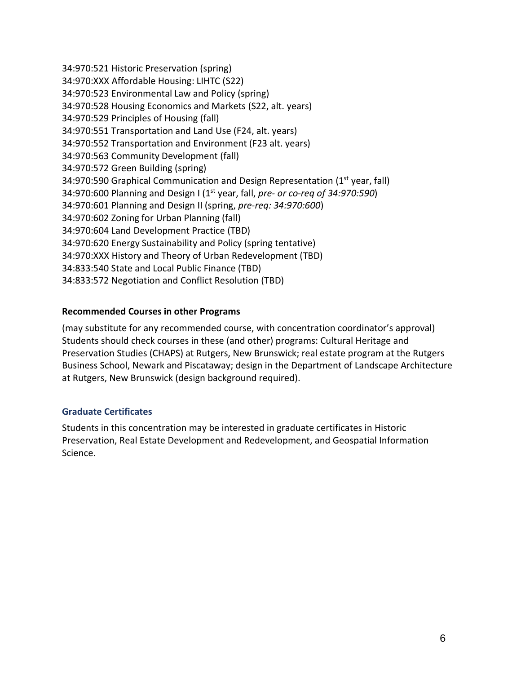34:970:521 Historic Preservation (spring) 34:970:XXX Affordable Housing: LIHTC (S22) 34:970:523 Environmental Law and Policy (spring) 34:970:528 Housing Economics and Markets (S22, alt. years) 34:970:529 Principles of Housing (fall) 34:970:551 Transportation and Land Use (F24, alt. years) 34:970:552 Transportation and Environment (F23 alt. years) 34:970:563 Community Development (fall) 34:970:572 Green Building (spring) 34:970:590 Graphical Communication and Design Representation (1<sup>st</sup> year, fall) 34:970:600 Planning and Design I (1st year, fall, *pre- or co-req of 34:970:590*) 34:970:601 Planning and Design II (spring, *pre-req: 34:970:600*) 34:970:602 Zoning for Urban Planning (fall) 34:970:604 Land Development Practice (TBD) 34:970:620 Energy Sustainability and Policy (spring tentative) 34:970:XXX History and Theory of Urban Redevelopment (TBD) 34:833:540 State and Local Public Finance (TBD) 34:833:572 Negotiation and Conflict Resolution (TBD)

## **Recommended Courses in other Programs**

(may substitute for any recommended course, with concentration coordinator's approval) Students should check courses in these (and other) programs: Cultural Heritage and Preservation Studies (CHAPS) at Rutgers, New Brunswick; real estate program at the Rutgers Business School, Newark and Piscataway; design in the Department of Landscape Architecture at Rutgers, New Brunswick (design background required).

## **Graduate Certificates**

Students in this concentration may be interested in graduate certificates in Historic Preservation, Real Estate Development and Redevelopment, and Geospatial Information Science.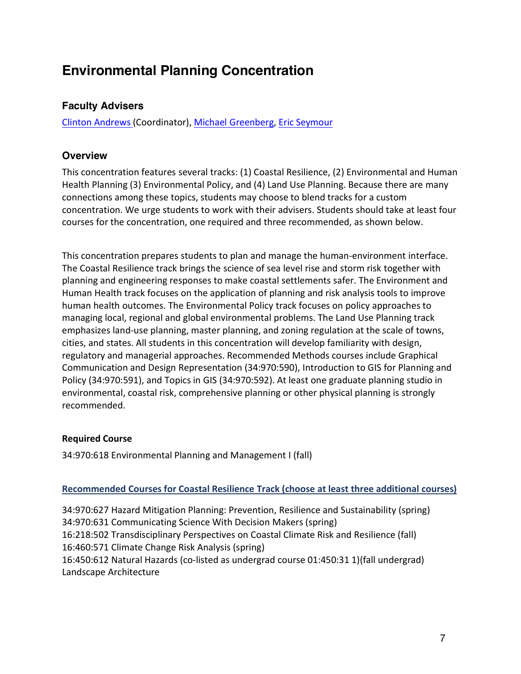# **Environmental Planning Concentration**

# **Faculty Advisers**

Clinton Andrews (Coordinator), Michael Greenberg, Eric Seymour

# **Overview**

This concentration features several tracks: (1) Coastal Resilience, (2) Environmental and Human Health Planning (3) Environmental Policy, and (4) Land Use Planning. Because there are many connections among these topics, students may choose to blend tracks for a custom concentration. We urge students to work with their advisers. Students should take at least four courses for the concentration, one required and three recommended, as shown below.

This concentration prepares students to plan and manage the human-environment interface. The Coastal Resilience track brings the science of sea level rise and storm risk together with planning and engineering responses to make coastal settlements safer. The Environment and Human Health track focuses on the application of planning and risk analysis tools to improve human health outcomes. The Environmental Policy track focuses on policy approaches to managing local, regional and global environmental problems. The Land Use Planning track emphasizes land-use planning, master planning, and zoning regulation at the scale of towns, cities, and states. All students in this concentration will develop familiarity with design, regulatory and managerial approaches. Recommended Methods courses include Graphical Communication and Design Representation (34:970:590), Introduction to GIS for Planning and Policy (34:970:591), and Topics in GIS (34:970:592). At least one graduate planning studio in environmental, coastal risk, comprehensive planning or other physical planning is strongly recommended.

## **Required Course**

34:970:618 Environmental Planning and Management I (fall)

## **Recommended Courses for Coastal Resilience Track (choose at least three additional courses)**

34:970:627 Hazard Mitigation Planning: Prevention, Resilience and Sustainability (spring) 34:970:631 Communicating Science With Decision Makers (spring) 16:218:502 Transdisciplinary Perspectives on Coastal Climate Risk and Resilience (fall) 16:460:571 Climate Change Risk Analysis (spring) 16:450:612 Natural Hazards (co-listed as undergrad course 01:450:31 1)(fall undergrad) Landscape Architecture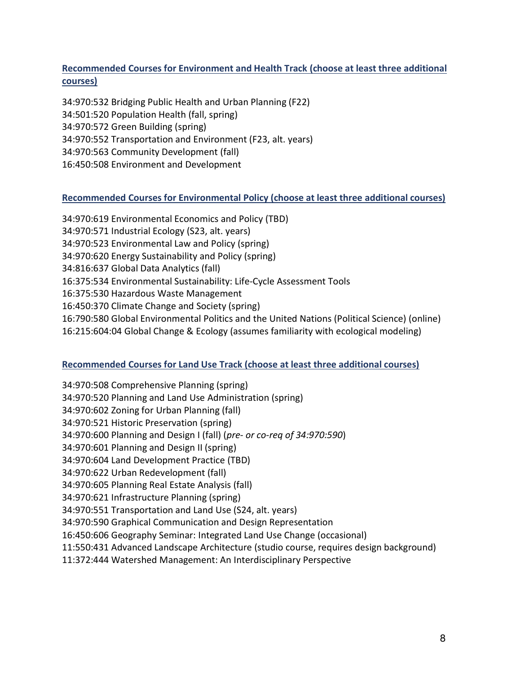## **Recommended Courses for Environment and Health Track (choose at least three additional courses)**

34:970:532 Bridging Public Health and Urban Planning (F22) 34:501:520 Population Health (fall, spring) 34:970:572 Green Building (spring) 34:970:552 Transportation and Environment (F23, alt. years) 34:970:563 Community Development (fall) 16:450:508 Environment and Development

## **Recommended Courses for Environmental Policy (choose at least three additional courses)**

34:970:619 Environmental Economics and Policy (TBD) 34:970:571 Industrial Ecology (S23, alt. years) 34:970:523 Environmental Law and Policy (spring) 34:970:620 Energy Sustainability and Policy (spring) 34:816:637 Global Data Analytics (fall) 16:375:534 Environmental Sustainability: Life-Cycle Assessment Tools 16:375:530 Hazardous Waste Management 16:450:370 Climate Change and Society (spring) 16:790:580 Global Environmental Politics and the United Nations (Political Science) (online) 16:215:604:04 Global Change & Ecology (assumes familiarity with ecological modeling)

## **Recommended Courses for Land Use Track (choose at least three additional courses)**

34:970:508 Comprehensive Planning (spring) 34:970:520 Planning and Land Use Administration (spring) 34:970:602 Zoning for Urban Planning (fall) 34:970:521 Historic Preservation (spring) 34:970:600 Planning and Design I (fall) (*pre- or co-req of 34:970:590*) 34:970:601 Planning and Design II (spring) 34:970:604 Land Development Practice (TBD) 34:970:622 Urban Redevelopment (fall) 34:970:605 Planning Real Estate Analysis (fall) 34:970:621 Infrastructure Planning (spring) 34:970:551 Transportation and Land Use (S24, alt. years) 34:970:590 Graphical Communication and Design Representation 16:450:606 Geography Seminar: Integrated Land Use Change (occasional) 11:550:431 Advanced Landscape Architecture (studio course, requires design background)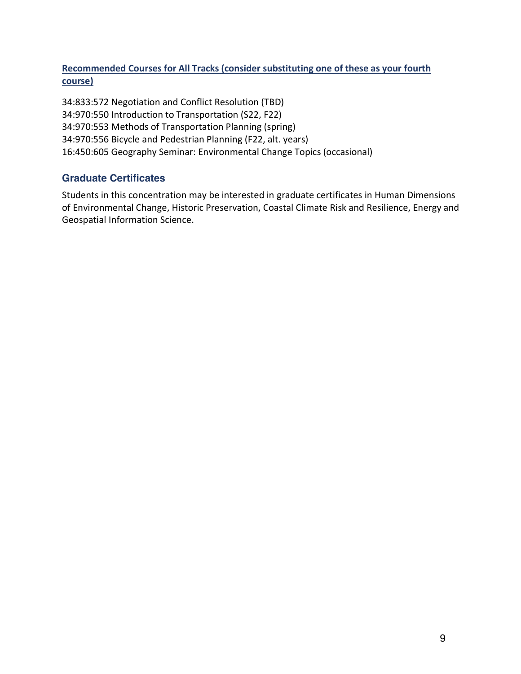**Recommended Courses for All Tracks (consider substituting one of these as your fourth course)**

34:833:572 Negotiation and Conflict Resolution (TBD) 34:970:550 Introduction to Transportation (S22, F22) 34:970:553 Methods of Transportation Planning (spring) 34:970:556 Bicycle and Pedestrian Planning (F22, alt. years) 16:450:605 Geography Seminar: Environmental Change Topics (occasional)

# **Graduate Certificates**

Students in this concentration may be interested in graduate certificates in Human Dimensions of Environmental Change, Historic Preservation, Coastal Climate Risk and Resilience, Energy and Geospatial Information Science.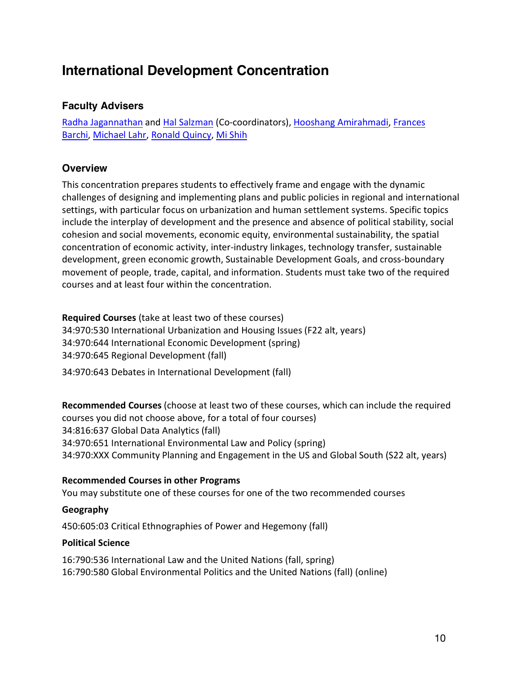# **International Development Concentration**

## **Faculty Advisers**

Radha Jagannathan and Hal Salzman (Co-coordinators), Hooshang Amirahmadi, Frances Barchi, Michael Lahr, Ronald Quincy, Mi Shih

# **Overview**

This concentration prepares students to effectively frame and engage with the dynamic challenges of designing and implementing plans and public policies in regional and international settings, with particular focus on urbanization and human settlement systems. Specific topics include the interplay of development and the presence and absence of political stability, social cohesion and social movements, economic equity, environmental sustainability, the spatial concentration of economic activity, inter-industry linkages, technology transfer, sustainable development, green economic growth, Sustainable Development Goals, and cross-boundary movement of people, trade, capital, and information. Students must take two of the required courses and at least four within the concentration.

**Required Courses** (take at least two of these courses) 34:970:530 International Urbanization and Housing Issues (F22 alt, years) 34:970:644 International Economic Development (spring) 34:970:645 Regional Development (fall) 34:970:643 Debates in International Development (fall)

**Recommended Courses** (choose at least two of these courses, which can include the required courses you did not choose above, for a total of four courses) 34:816:637 Global Data Analytics (fall) 34:970:651 International Environmental Law and Policy (spring) 34:970:XXX Community Planning and Engagement in the US and Global South (S22 alt, years)

#### **Recommended Courses in other Programs**

You may substitute one of these courses for one of the two recommended courses

#### **Geography**

450:605:03 Critical Ethnographies of Power and Hegemony (fall)

#### **Political Science**

16:790:536 International Law and the United Nations (fall, spring) 16:790:580 Global Environmental Politics and the United Nations (fall) (online)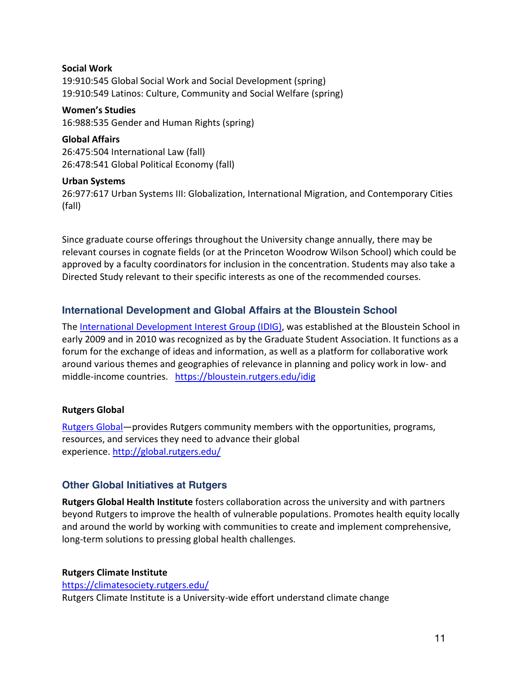# **Social Work** 19:910:545 Global Social Work and Social Development (spring) 19:910:549 Latinos: Culture, Community and Social Welfare (spring)

**Women's Studies** 16:988:535 Gender and Human Rights (spring)

**Global Affairs** 26:475:504 International Law (fall) 26:478:541 Global Political Economy (fall)

#### **Urban Systems**

26:977:617 Urban Systems III: Globalization, International Migration, and Contemporary Cities (fall)

Since graduate course offerings throughout the University change annually, there may be relevant courses in cognate fields (or at the Princeton Woodrow Wilson School) which could be approved by a faculty coordinators for inclusion in the concentration. Students may also take a Directed Study relevant to their specific interests as one of the recommended courses.

# **International Development and Global Affairs at the Bloustein School**

The International Development Interest Group (IDIG), was established at the Bloustein School in early 2009 and in 2010 was recognized as by the Graduate Student Association. It functions as a forum for the exchange of ideas and information, as well as a platform for collaborative work around various themes and geographies of relevance in planning and policy work in low- and middle-income countries. https://bloustein.rutgers.edu/idig

## **Rutgers Global**

Rutgers Global—provides Rutgers community members with the opportunities, programs, resources, and services they need to advance their global experience. http://global.rutgers.edu/

# **Other Global Initiatives at Rutgers**

**Rutgers Global Health Institute** fosters collaboration across the university and with partners beyond Rutgers to improve the health of vulnerable populations. Promotes health equity locally and around the world by working with communities to create and implement comprehensive, long-term solutions to pressing global health challenges.

## **Rutgers Climate Institute**

https://climatesociety.rutgers.edu/ Rutgers Climate Institute is a University-wide effort understand climate change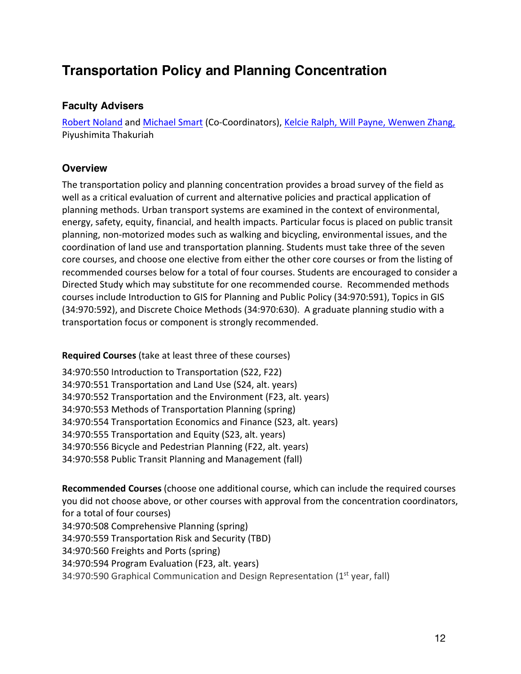# **Transportation Policy and Planning Concentration**

## **Faculty Advisers**

Robert Noland and Michael Smart (Co-Coordinators), Kelcie Ralph, Will Payne, Wenwen Zhang, Piyushimita Thakuriah

# **Overview**

The transportation policy and planning concentration provides a broad survey of the field as well as a critical evaluation of current and alternative policies and practical application of planning methods. Urban transport systems are examined in the context of environmental, energy, safety, equity, financial, and health impacts. Particular focus is placed on public transit planning, non-motorized modes such as walking and bicycling, environmental issues, and the coordination of land use and transportation planning. Students must take three of the seven core courses, and choose one elective from either the other core courses or from the listing of recommended courses below for a total of four courses. Students are encouraged to consider a Directed Study which may substitute for one recommended course. Recommended methods courses include Introduction to GIS for Planning and Public Policy (34:970:591), Topics in GIS (34:970:592), and Discrete Choice Methods (34:970:630). A graduate planning studio with a transportation focus or component is strongly recommended.

## **Required Courses** (take at least three of these courses)

34:970:550 Introduction to Transportation (S22, F22) 34:970:551 Transportation and Land Use (S24, alt. years) 34:970:552 Transportation and the Environment (F23, alt. years) 34:970:553 Methods of Transportation Planning (spring) 34:970:554 Transportation Economics and Finance (S23, alt. years) 34:970:555 Transportation and Equity (S23, alt. years) 34:970:556 Bicycle and Pedestrian Planning (F22, alt. years) 34:970:558 Public Transit Planning and Management (fall)

**Recommended Courses** (choose one additional course, which can include the required courses you did not choose above, or other courses with approval from the concentration coordinators, for a total of four courses) 34:970:508 Comprehensive Planning (spring) 34:970:559 Transportation Risk and Security (TBD) 34:970:560 Freights and Ports (spring) 34:970:594 Program Evaluation (F23, alt. years) 34:970:590 Graphical Communication and Design Representation ( $1<sup>st</sup>$  year, fall)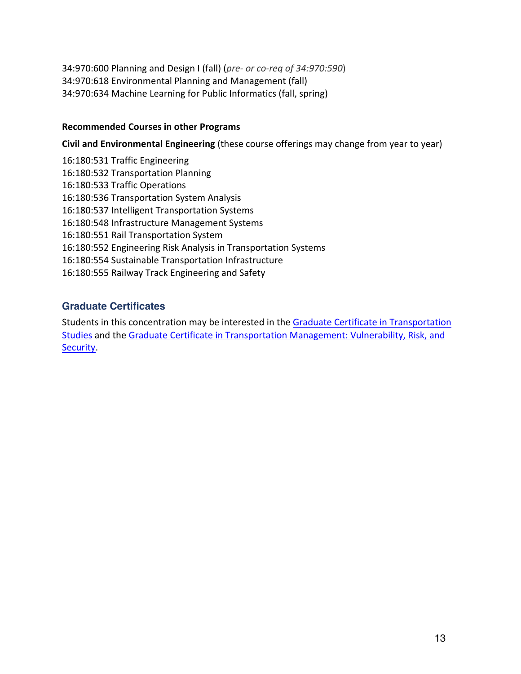34:970:600 Planning and Design I (fall) (*pre- or co-req of 34:970:590*) 34:970:618 Environmental Planning and Management (fall) 34:970:634 Machine Learning for Public Informatics (fall, spring)

#### **Recommended Courses in other Programs**

**Civil and Environmental Engineering** (these course offerings may change from year to year)

16:180:531 Traffic Engineering 16:180:532 Transportation Planning 16:180:533 Traffic Operations 16:180:536 Transportation System Analysis 16:180:537 Intelligent Transportation Systems 16:180:548 Infrastructure Management Systems 16:180:551 Rail Transportation System 16:180:552 Engineering Risk Analysis in Transportation Systems 16:180:554 Sustainable Transportation Infrastructure 16:180:555 Railway Track Engineering and Safety

## **Graduate Certificates**

Students in this concentration may be interested in the Graduate Certificate in Transportation Studies and the Graduate Certificate in Transportation Management: Vulnerability, Risk, and Security.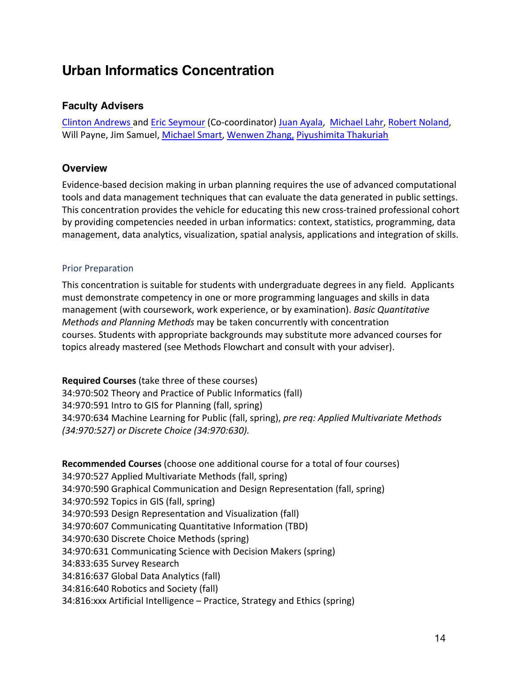# **Urban Informatics Concentration**

## **Faculty Advisers**

Clinton Andrews and Eric Seymour (Co-coordinator) Juan Ayala, Michael Lahr, Robert Noland, Will Payne, Jim Samuel, Michael Smart, Wenwen Zhang, Piyushimita Thakuriah

# **Overview**

Evidence-based decision making in urban planning requires the use of advanced computational tools and data management techniques that can evaluate the data generated in public settings. This concentration provides the vehicle for educating this new cross-trained professional cohort by providing competencies needed in urban informatics: context, statistics, programming, data management, data analytics, visualization, spatial analysis, applications and integration of skills.

#### Prior Preparation

This concentration is suitable for students with undergraduate degrees in any field. Applicants must demonstrate competency in one or more programming languages and skills in data management (with coursework, work experience, or by examination). *Basic Quantitative Methods and Planning Methods* may be taken concurrently with concentration courses. Students with appropriate backgrounds may substitute more advanced courses for topics already mastered (see Methods Flowchart and consult with your adviser).

**Required Courses** (take three of these courses) 34:970:502 Theory and Practice of Public Informatics (fall) 34:970:591 Intro to GIS for Planning (fall, spring) 34:970:634 Machine Learning for Public (fall, spring), *pre req: Applied Multivariate Methods (34:970:527) or Discrete Choice (34:970:630).*

**Recommended Courses** (choose one additional course for a total of four courses) 34:970:527 Applied Multivariate Methods (fall, spring) 34:970:590 Graphical Communication and Design Representation (fall, spring) 34:970:592 Topics in GIS (fall, spring) 34:970:593 Design Representation and Visualization (fall) 34:970:607 Communicating Quantitative Information (TBD) 34:970:630 Discrete Choice Methods (spring) 34:970:631 Communicating Science with Decision Makers (spring) 34:833:635 Survey Research 34:816:637 Global Data Analytics (fall) 34:816:640 Robotics and Society (fall) 34:816:xxx Artificial Intelligence – Practice, Strategy and Ethics (spring)